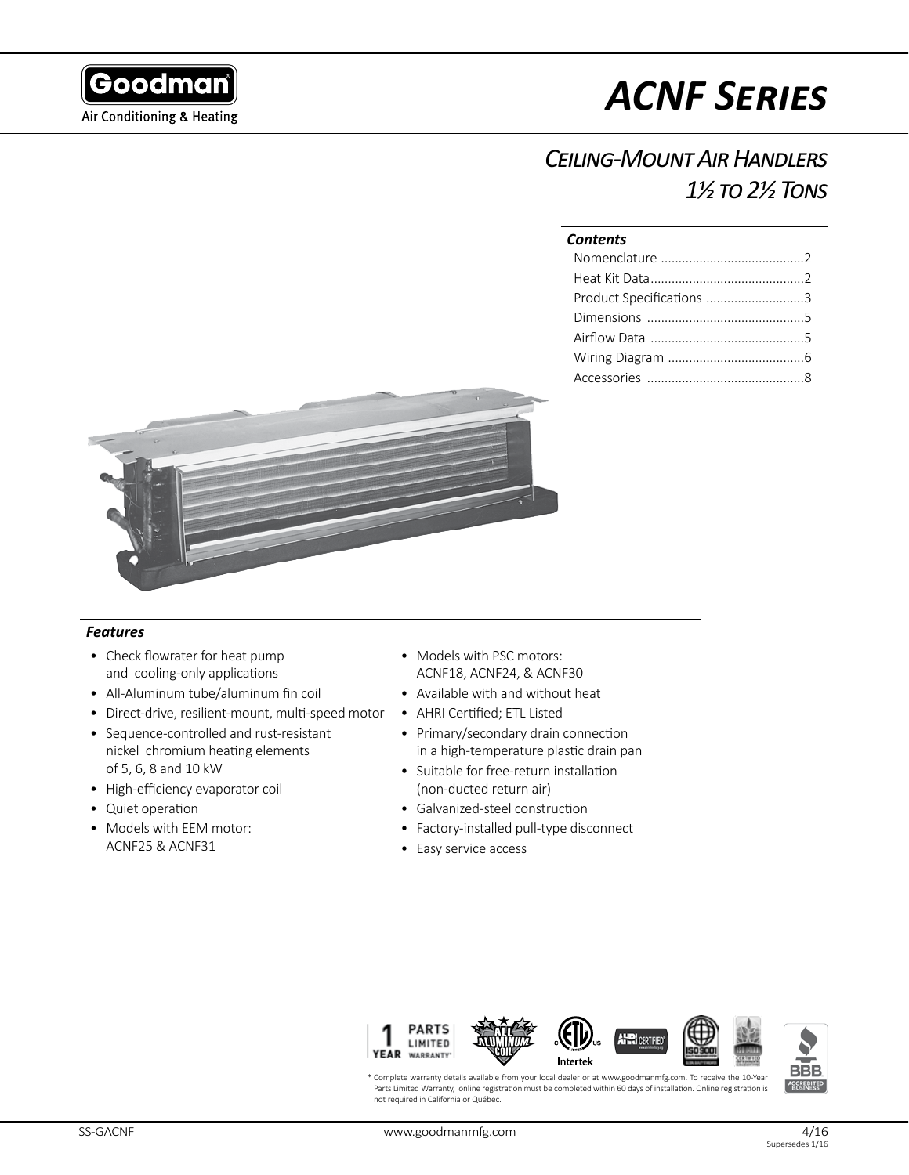

# *ACNF Series*

## *Ceiling-Mount Air Handlers 1½ to 2½ Tons*

#### *Contents*

| Product Specifications 3 |  |
|--------------------------|--|
|                          |  |
|                          |  |
|                          |  |
|                          |  |



#### *Features*

- Check flowrater for heat pump and cooling-only applications
- All-Aluminum tube/aluminum fin coil
- Direct-drive, resilient-mount, multi-speed motor
- Sequence-controlled and rust-resistant nickel chromium heating elements of 5, 6, 8 and 10 kW
- High-efficiency evaporator coil
- Quiet operation
- Models with EEM motor: ACNF25 & ACNF31
- Models with PSC motors: ACNF18, ACNF24, & ACNF30
- Available with and without heat
- AHRI Certified; ETL Listed
- Primary/secondary drain connection in a high-temperature plastic drain pan
- Suitable for free-return installation (non-ducted return air)
- Galvanized-steel construction
- Factory-installed pull-type disconnect
- Easy service access



\* Complete warranty details available from your local dealer or at www.goodmanmfg.com. To receive the 10-Year Parts Limited Warranty, online registration must be completed within 60 days of installation. Online registration is not required in California or Québec.

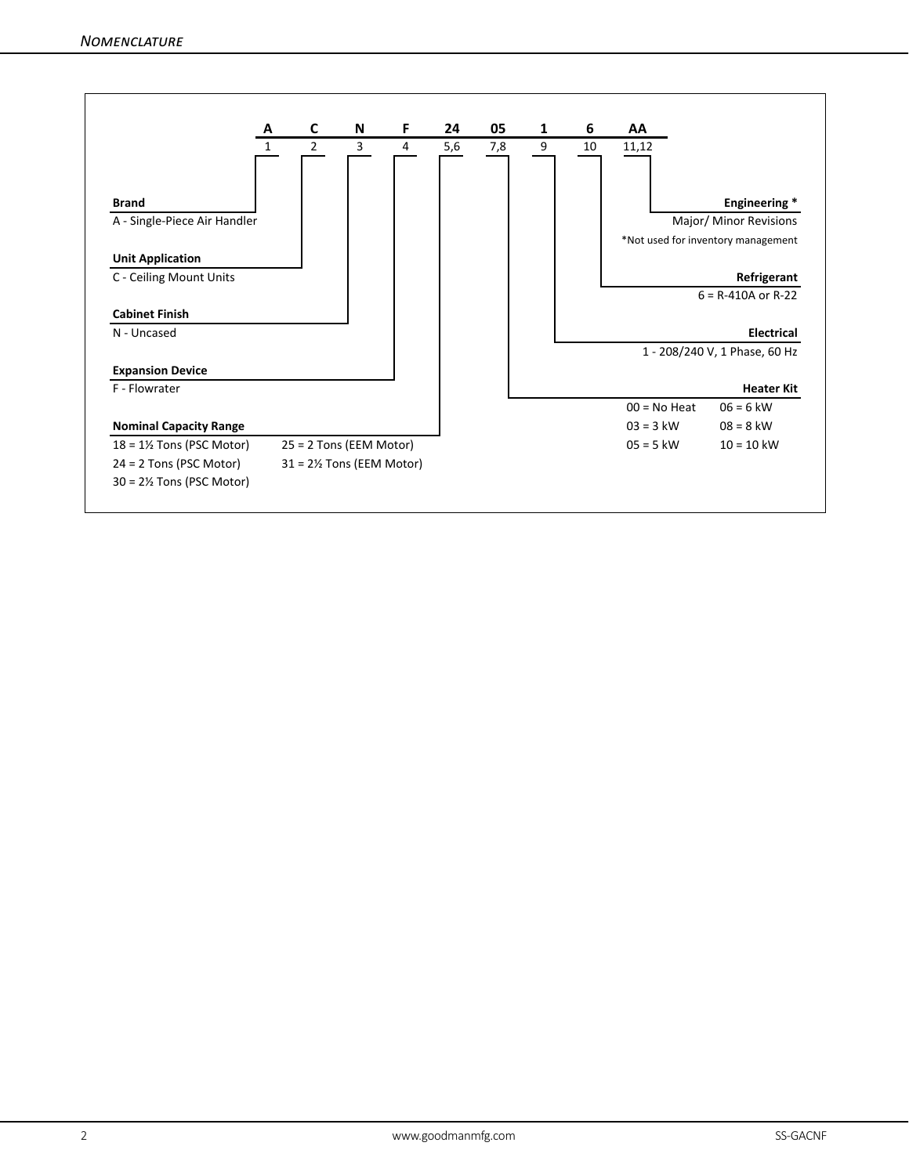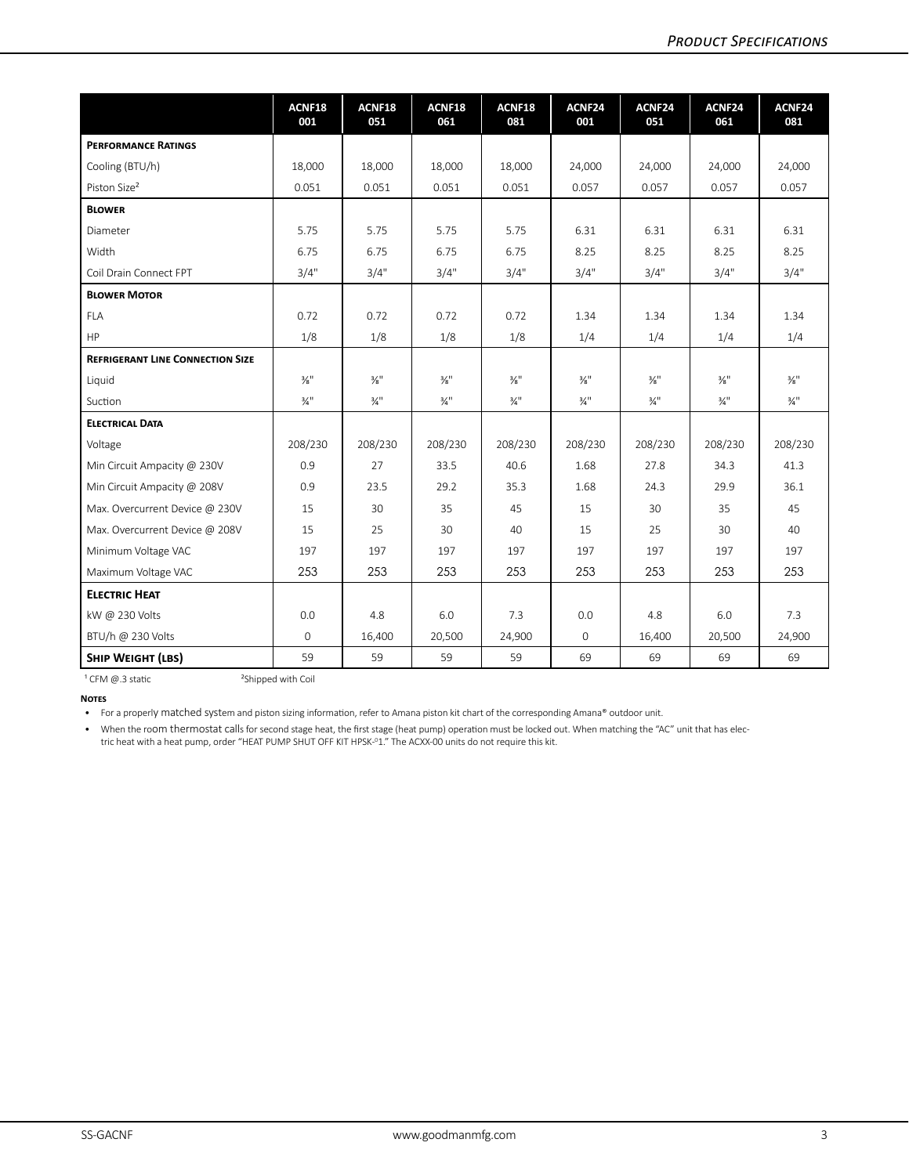|                                                        | ACNF18<br>001               | ACNF18<br>051               | ACNF18<br>061               | ACNF18<br>081               | ACNF24<br>001               | ACNF24<br>051               | ACNF24<br>061               | ACNF24<br>081               |
|--------------------------------------------------------|-----------------------------|-----------------------------|-----------------------------|-----------------------------|-----------------------------|-----------------------------|-----------------------------|-----------------------------|
| <b>PERFORMANCE RATINGS</b>                             |                             |                             |                             |                             |                             |                             |                             |                             |
| Cooling (BTU/h)                                        | 18,000                      | 18,000                      | 18,000                      | 18,000                      | 24,000                      | 24,000                      | 24,000                      | 24,000                      |
| Piston Size <sup>2</sup>                               | 0.051                       | 0.051                       | 0.051                       | 0.051                       | 0.057                       | 0.057                       | 0.057                       | 0.057                       |
| <b>BLOWER</b>                                          |                             |                             |                             |                             |                             |                             |                             |                             |
| Diameter                                               | 5.75                        | 5.75                        | 5.75                        | 5.75                        | 6.31                        | 6.31                        | 6.31                        | 6.31                        |
| Width                                                  | 6.75                        | 6.75                        | 6.75                        | 6.75                        | 8.25                        | 8.25                        | 8.25                        | 8.25                        |
| Coil Drain Connect FPT                                 | 3/4"                        | 3/4"                        | 3/4"                        | 3/4"                        | 3/4"                        | 3/4"                        | 3/4"                        | 3/4"                        |
| <b>BLOWER MOTOR</b>                                    |                             |                             |                             |                             |                             |                             |                             |                             |
| <b>FLA</b>                                             | 0.72                        | 0.72                        | 0.72                        | 0.72                        | 1.34                        | 1.34                        | 1.34                        | 1.34                        |
| HP                                                     | 1/8                         | 1/8                         | 1/8                         | 1/8                         | 1/4                         | 1/4                         | 1/4                         | 1/4                         |
| <b>REFRIGERANT LINE CONNECTION SIZE</b>                |                             |                             |                             |                             |                             |                             |                             |                             |
| Liquid                                                 | $\frac{3}{8}$ <sup>11</sup> | $\frac{3}{8}$ <sup>11</sup> | $\frac{3}{8}$ <sup>11</sup> | $\frac{3}{8}$ <sup>11</sup> | $\frac{3}{8}$ <sup>11</sup> | $\frac{3}{8}$ <sup>11</sup> | $\frac{3}{8}$ <sup>11</sup> | $\frac{3}{8}$ <sup>11</sup> |
| Suction                                                | $\frac{3}{4}$ <sup>11</sup> | $\frac{3}{4}$ <sup>11</sup> | $\frac{3}{4}$ <sup>11</sup> | $\frac{3}{4}$ <sup>11</sup> | $\frac{3}{4}$ <sup>11</sup> | $\frac{3}{4}$ <sup>11</sup> | $\frac{3}{4}$ <sup>11</sup> | $\frac{3}{4}$ <sup>11</sup> |
| <b>ELECTRICAL DATA</b>                                 |                             |                             |                             |                             |                             |                             |                             |                             |
| Voltage                                                | 208/230                     | 208/230                     | 208/230                     | 208/230                     | 208/230                     | 208/230                     | 208/230                     | 208/230                     |
| Min Circuit Ampacity @ 230V                            | 0.9                         | 27                          | 33.5                        | 40.6                        | 1.68                        | 27.8                        | 34.3                        | 41.3                        |
| Min Circuit Ampacity @ 208V                            | 0.9                         | 23.5                        | 29.2                        | 35.3                        | 1.68                        | 24.3                        | 29.9                        | 36.1                        |
| Max. Overcurrent Device @ 230V                         | 15                          | 30                          | 35                          | 45                          | 15                          | 30                          | 35                          | 45                          |
| Max. Overcurrent Device @ 208V                         | 15                          | 25                          | 30                          | 40                          | 15                          | 25                          | 30                          | 40                          |
| Minimum Voltage VAC                                    | 197                         | 197                         | 197                         | 197                         | 197                         | 197                         | 197                         | 197                         |
| Maximum Voltage VAC                                    | 253                         | 253                         | 253                         | 253                         | 253                         | 253                         | 253                         | 253                         |
| <b>ELECTRIC HEAT</b>                                   |                             |                             |                             |                             |                             |                             |                             |                             |
| kW @ 230 Volts                                         | 0.0                         | 4.8                         | 6.0                         | 7.3                         | 0.0                         | 4.8                         | 6.0                         | 7.3                         |
| BTU/h @ 230 Volts                                      | $\mathbf 0$                 | 16,400                      | 20,500                      | 24,900                      | $\mathbf{O}$                | 16,400                      | 20,500                      | 24,900                      |
| <b>SHIP WEIGHT (LBS)</b>                               | 59                          | 59                          | 59                          | 59                          | 69                          | 69                          | 69                          | 69                          |
| <sup>2</sup> Shipped with Coil<br>$1$ CFM $@.3$ static |                             |                             |                             |                             |                             |                             |                             |                             |

**Notes**

• For a properly matched system and piston sizing information, refer to Amana piston kit chart of the corresponding Amana® outdoor unit.

• When the room thermostat calls for second stage heat, the first stage (heat pump) operation must be locked out. When matching the "AC" unit that has electric heat with a heat pump, order "HEAT PUMP SHUT OFF KIT HPSK-<sup>0</sup>1." The ACXX-00 units do not require this kit.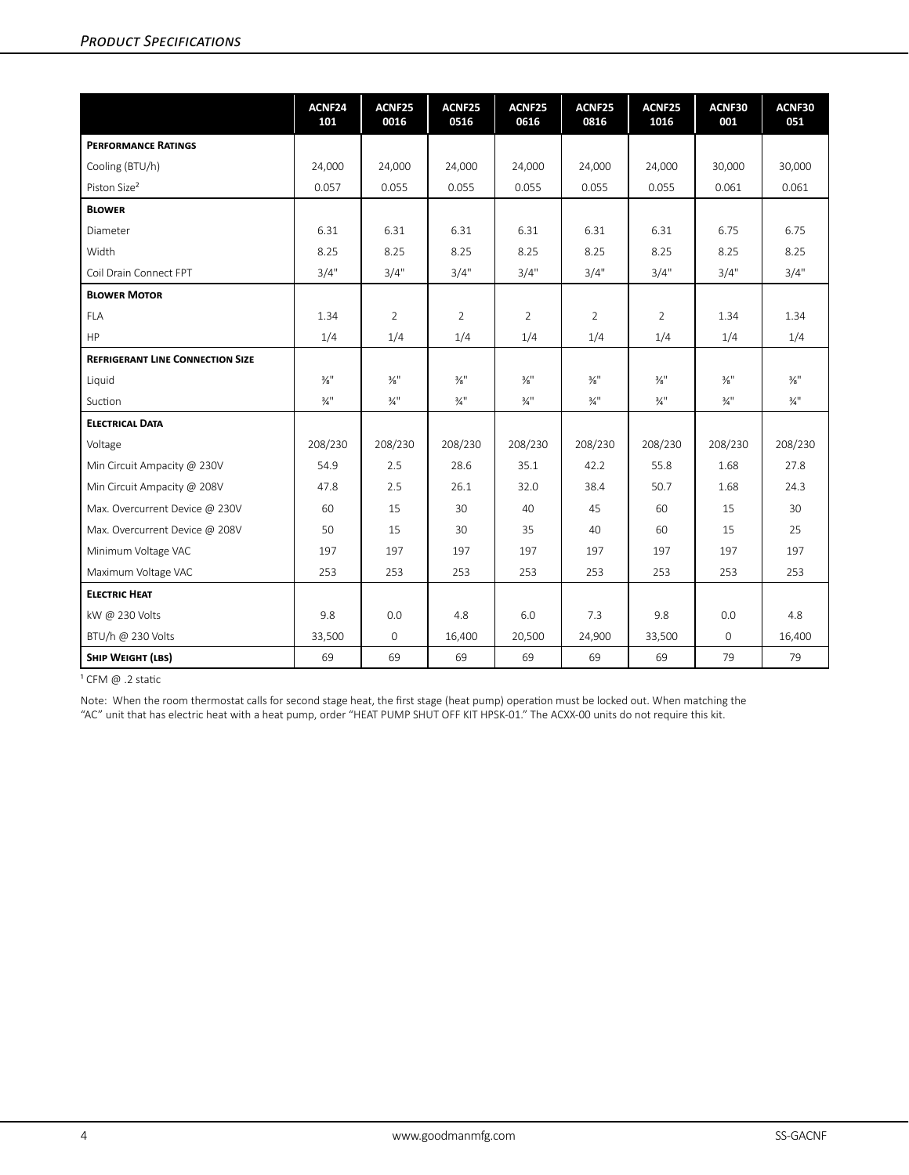|                                         | ACNF24<br>101               | ACNF25<br>0016              | ACNF25<br>0516              | ACNF25<br>0616              | ACNF25<br>0816              | ACNF25<br>1016              | ACNF30<br>001               | ACNF30<br>051               |
|-----------------------------------------|-----------------------------|-----------------------------|-----------------------------|-----------------------------|-----------------------------|-----------------------------|-----------------------------|-----------------------------|
| <b>PERFORMANCE RATINGS</b>              |                             |                             |                             |                             |                             |                             |                             |                             |
| Cooling (BTU/h)                         | 24,000                      | 24,000                      | 24,000                      | 24,000                      | 24,000                      | 24,000                      | 30,000                      | 30,000                      |
| Piston Size <sup>2</sup>                | 0.057                       | 0.055                       | 0.055                       | 0.055                       | 0.055                       | 0.055                       | 0.061                       | 0.061                       |
| <b>BLOWER</b>                           |                             |                             |                             |                             |                             |                             |                             |                             |
| Diameter                                | 6.31                        | 6.31                        | 6.31                        | 6.31                        | 6.31                        | 6.31                        | 6.75                        | 6.75                        |
| Width                                   | 8.25                        | 8.25                        | 8.25                        | 8.25                        | 8.25                        | 8.25                        | 8.25                        | 8.25                        |
| Coil Drain Connect FPT                  | 3/4"                        | 3/4"                        | 3/4"                        | 3/4"                        | 3/4"                        | 3/4"                        | 3/4"                        | 3/4"                        |
| <b>BLOWER MOTOR</b>                     |                             |                             |                             |                             |                             |                             |                             |                             |
| <b>FLA</b>                              | 1.34                        | $\overline{2}$              | 2                           | $\overline{2}$              | $\overline{2}$              | 2                           | 1.34                        | 1.34                        |
| HP                                      | 1/4                         | 1/4                         | 1/4                         | 1/4                         | 1/4                         | 1/4                         | 1/4                         | 1/4                         |
| <b>REFRIGERANT LINE CONNECTION SIZE</b> |                             |                             |                             |                             |                             |                             |                             |                             |
| Liquid                                  | $\frac{3}{8}$ <sup>11</sup> | $\frac{3}{8}$ <sup>11</sup> | $\frac{3}{8}$ <sup>11</sup> | $\frac{3}{8}$ <sup>11</sup> | $\frac{3}{8}$ <sup>11</sup> | $\frac{3}{8}$ <sup>11</sup> | $\frac{3}{8}$ <sup>11</sup> | $\frac{3}{8}$ <sup>11</sup> |
| Suction                                 | $\frac{3}{4}$ <sup>11</sup> | $\frac{3}{4}$ <sup>11</sup> | $\frac{3}{4}$ <sup>11</sup> | $\frac{3}{4}$ <sup>11</sup> | $\frac{3}{4}$ <sup>11</sup> | $\frac{3}{4}$ <sup>11</sup> | $\frac{3}{4}$ <sup>11</sup> | $\frac{3}{4}$ <sup>11</sup> |
| <b>ELECTRICAL DATA</b>                  |                             |                             |                             |                             |                             |                             |                             |                             |
| Voltage                                 | 208/230                     | 208/230                     | 208/230                     | 208/230                     | 208/230                     | 208/230                     | 208/230                     | 208/230                     |
| Min Circuit Ampacity @ 230V             | 54.9                        | 2.5                         | 28.6                        | 35.1                        | 42.2                        | 55.8                        | 1.68                        | 27.8                        |
| Min Circuit Ampacity @ 208V             | 47.8                        | 2.5                         | 26.1                        | 32.0                        | 38.4                        | 50.7                        | 1.68                        | 24.3                        |
| Max. Overcurrent Device @ 230V          | 60                          | 15                          | 30                          | 40                          | 45                          | 60                          | 15                          | 30                          |
| Max. Overcurrent Device @ 208V          | 50                          | 15                          | 30                          | 35                          | 40                          | 60                          | 15                          | 25                          |
| Minimum Voltage VAC                     | 197                         | 197                         | 197                         | 197                         | 197                         | 197                         | 197                         | 197                         |
| Maximum Voltage VAC                     | 253                         | 253                         | 253                         | 253                         | 253                         | 253                         | 253                         | 253                         |
| <b>ELECTRIC HEAT</b>                    |                             |                             |                             |                             |                             |                             |                             |                             |
| kW @ 230 Volts                          | 9.8                         | 0.0                         | 4.8                         | 6.0                         | 7.3                         | 9.8                         | 0.0                         | 4.8                         |
| BTU/h @ 230 Volts                       | 33,500                      | $\mathsf{O}\xspace$         | 16,400                      | 20,500                      | 24,900                      | 33,500                      | $\mathsf{O}\xspace$         | 16,400                      |
| SHIP WEIGHT (LBS)                       | 69                          | 69                          | 69                          | 69                          | 69                          | 69                          | 79                          | 79                          |

 $1$  CFM  $\omega$  .2 static

Note: When the room thermostat calls for second stage heat, the first stage (heat pump) operation must be locked out. When matching the "AC" unit that has electric heat with a heat pump, order "HEAT PUMP SHUT OFF KIT HPSK-01." The ACXX-00 units do not require this kit.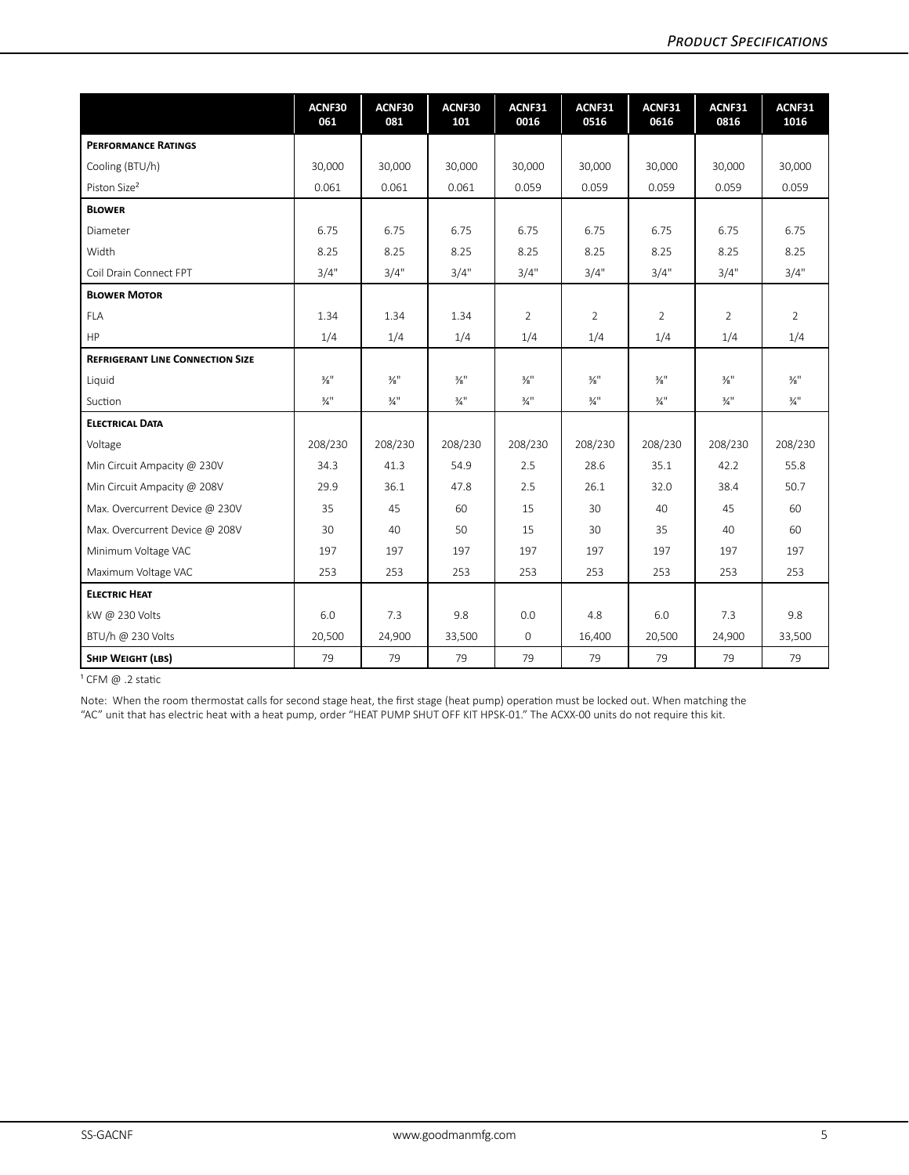|                                         | ACNF30<br>061               | ACNF30<br>081               | ACNF30<br>101               | ACNF31<br>0016              | ACNF31<br>0516              | ACNF31<br>0616              | ACNF31<br>0816              | ACNF31<br>1016              |
|-----------------------------------------|-----------------------------|-----------------------------|-----------------------------|-----------------------------|-----------------------------|-----------------------------|-----------------------------|-----------------------------|
| <b>PERFORMANCE RATINGS</b>              |                             |                             |                             |                             |                             |                             |                             |                             |
| Cooling (BTU/h)                         | 30,000                      | 30,000                      | 30,000                      | 30,000                      | 30,000                      | 30,000                      | 30,000                      | 30,000                      |
| Piston Size <sup>2</sup>                | 0.061                       | 0.061                       | 0.061                       | 0.059                       | 0.059                       | 0.059                       | 0.059                       | 0.059                       |
| <b>BLOWER</b>                           |                             |                             |                             |                             |                             |                             |                             |                             |
| Diameter                                | 6.75                        | 6.75                        | 6.75                        | 6.75                        | 6.75                        | 6.75                        | 6.75                        | 6.75                        |
| Width                                   | 8.25                        | 8.25                        | 8.25                        | 8.25                        | 8.25                        | 8.25                        | 8.25                        | 8.25                        |
| Coil Drain Connect FPT                  | 3/4"                        | 3/4"                        | 3/4"                        | 3/4"                        | 3/4"                        | 3/4"                        | 3/4"                        | 3/4"                        |
| <b>BLOWER MOTOR</b>                     |                             |                             |                             |                             |                             |                             |                             |                             |
| <b>FLA</b>                              | 1.34                        | 1.34                        | 1.34                        | 2                           | $\overline{2}$              | $\overline{2}$              | 2                           | $\overline{2}$              |
| HP                                      | 1/4                         | 1/4                         | 1/4                         | 1/4                         | 1/4                         | 1/4                         | 1/4                         | 1/4                         |
| <b>REFRIGERANT LINE CONNECTION SIZE</b> |                             |                             |                             |                             |                             |                             |                             |                             |
| Liquid                                  | $\frac{3}{8}$ <sup>11</sup> | $\frac{3}{8}$ <sup>11</sup> | $\frac{3}{8}$ <sup>11</sup> | $\frac{3}{8}$ <sup>11</sup> | $\frac{3}{8}$ <sup>11</sup> | $\frac{3}{8}$ <sup>11</sup> | $\frac{3}{8}$ <sup>11</sup> | $\frac{3}{8}$ <sup>11</sup> |
| Suction                                 | $\frac{3}{4}$ <sup>11</sup> | $\frac{3}{4}$ <sup>11</sup> | $\frac{3}{4}$ <sup>11</sup> | $\frac{3}{4}$ <sup>11</sup> | $\frac{3}{4}$ <sup>11</sup> | $\frac{3}{4}$ <sup>11</sup> | $\frac{3}{4}$ <sup>11</sup> | $\frac{3}{4}$ <sup>11</sup> |
| <b>ELECTRICAL DATA</b>                  |                             |                             |                             |                             |                             |                             |                             |                             |
| Voltage                                 | 208/230                     | 208/230                     | 208/230                     | 208/230                     | 208/230                     | 208/230                     | 208/230                     | 208/230                     |
| Min Circuit Ampacity @ 230V             | 34.3                        | 41.3                        | 54.9                        | 2.5                         | 28.6                        | 35.1                        | 42.2                        | 55.8                        |
| Min Circuit Ampacity @ 208V             | 29.9                        | 36.1                        | 47.8                        | 2.5                         | 26.1                        | 32.0                        | 38.4                        | 50.7                        |
| Max. Overcurrent Device @ 230V          | 35                          | 45                          | 60                          | 15                          | 30                          | 40                          | 45                          | 60                          |
| Max. Overcurrent Device @ 208V          | 30                          | 40                          | 50                          | 15                          | 30                          | 35                          | 40                          | 60                          |
| Minimum Voltage VAC                     | 197                         | 197                         | 197                         | 197                         | 197                         | 197                         | 197                         | 197                         |
| Maximum Voltage VAC                     | 253                         | 253                         | 253                         | 253                         | 253                         | 253                         | 253                         | 253                         |
| <b>ELECTRIC HEAT</b>                    |                             |                             |                             |                             |                             |                             |                             |                             |
| kW @ 230 Volts                          | 6.0                         | 7.3                         | 9.8                         | 0.0                         | 4.8                         | 6.0                         | 7.3                         | 9.8                         |
| BTU/h @ 230 Volts                       | 20,500                      | 24,900                      | 33,500                      | $\mathsf O$                 | 16,400                      | 20,500                      | 24,900                      | 33,500                      |
| SHIP WEIGHT (LBS)                       | 79                          | 79                          | 79                          | 79                          | 79                          | 79                          | 79                          | 79                          |

 $1$  CFM  $\omega$  .2 static

Note: When the room thermostat calls for second stage heat, the first stage (heat pump) operation must be locked out. When matching the "AC" unit that has electric heat with a heat pump, order "HEAT PUMP SHUT OFF KIT HPSK-01." The ACXX-00 units do not require this kit.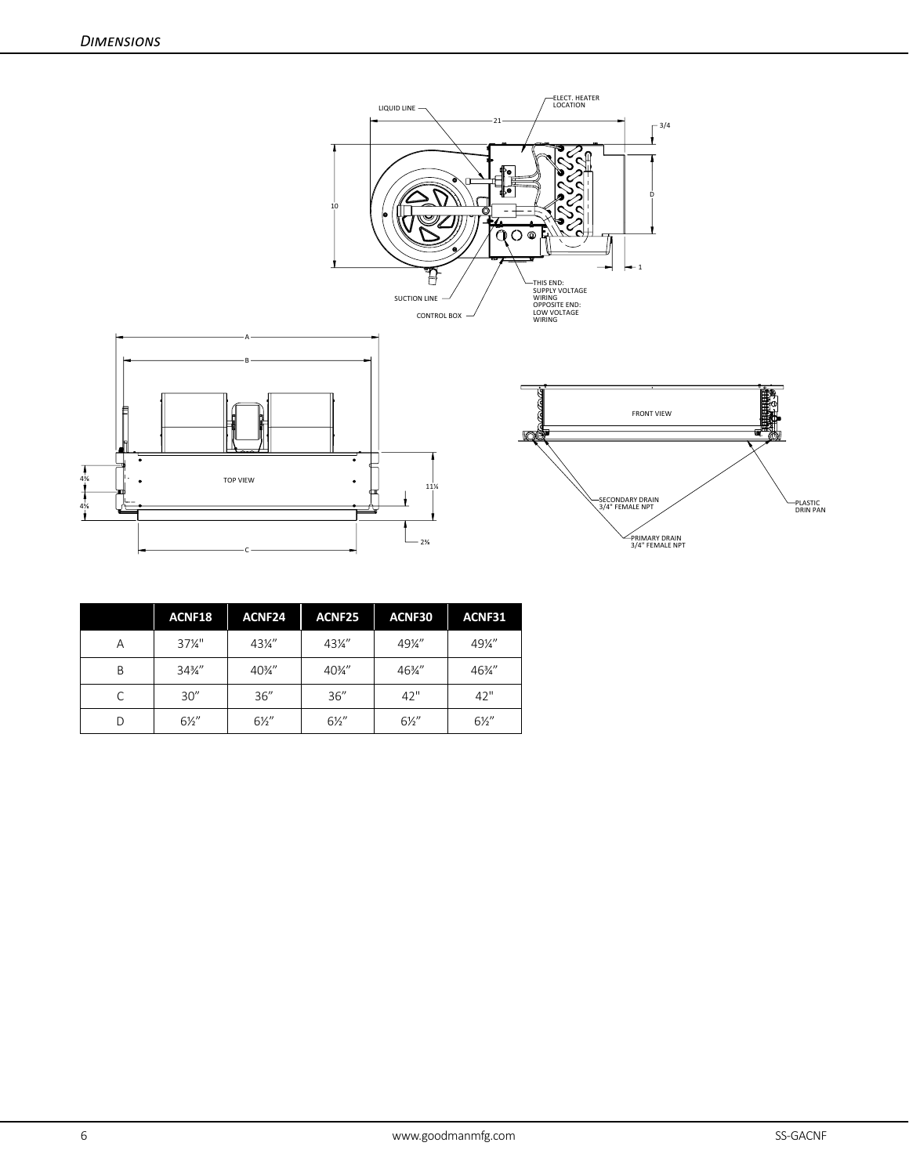

|   | ACNF18            | ACNF <sub>24</sub> | ACNF25          | ACNF30          | ACNF31          |
|---|-------------------|--------------------|-----------------|-----------------|-----------------|
| Α | $37\frac{1}{4}$ " | $43\frac{1}{4}$    | $43\frac{1}{4}$ | 49¼"            | $49\frac{1}{4}$ |
| B | $34\frac{3}{4}$   | $40\frac{3}{4}$ "  | 40%"            | $46\frac{3}{4}$ | 46%"            |
| C | 30''              | 36''               | 36''            | 42"             | 42"             |
| D | $6\frac{1}{2}$    | $6\frac{1}{2}$     | $6\frac{1}{2}$  | $6\frac{1}{2}$  | $6\frac{1}{2}$  |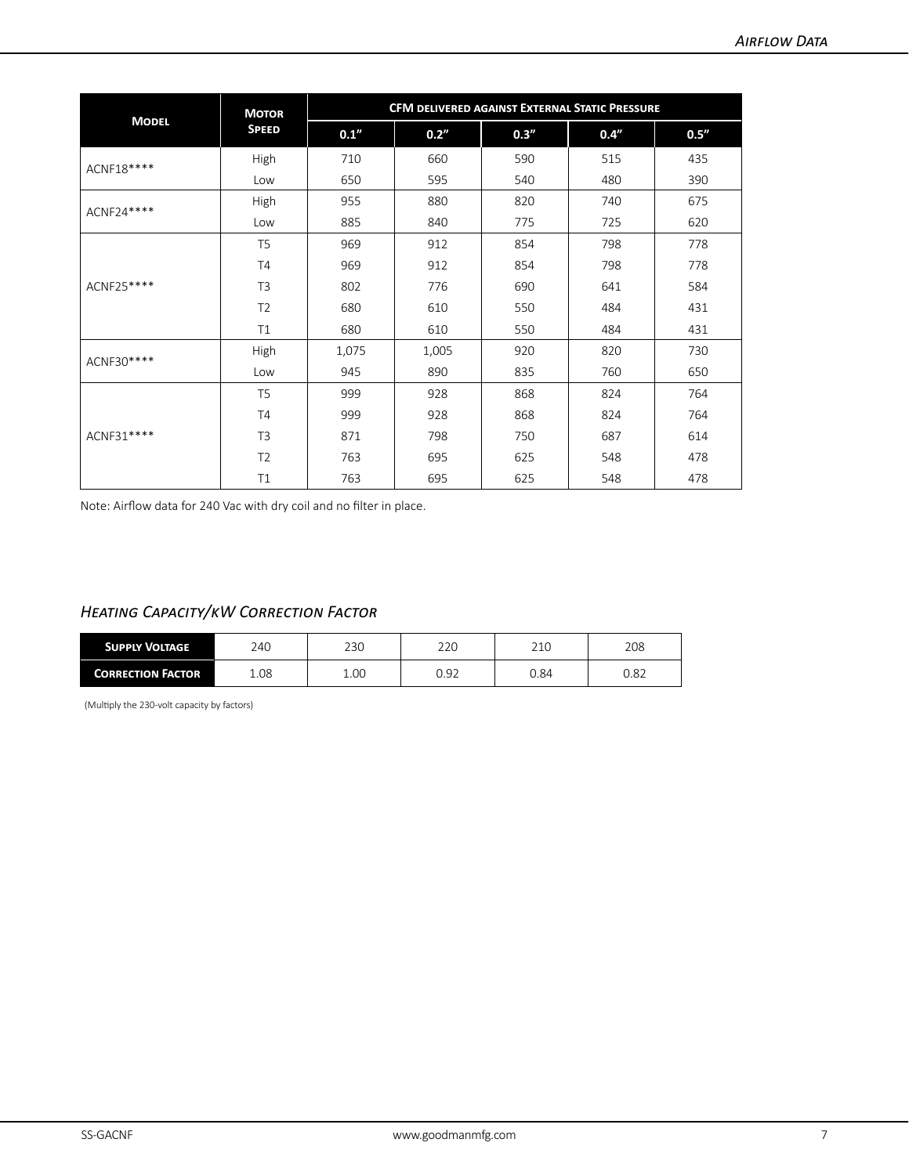|              | <b>MOTOR</b>   | CFM DELIVERED AGAINST EXTERNAL STATIC PRESSURE |       |       |      |       |  |
|--------------|----------------|------------------------------------------------|-------|-------|------|-------|--|
| <b>MODEL</b> | <b>SPEED</b>   | 0.1''                                          | 0.2"  | 0.3'' | 0.4" | 0.5'' |  |
| ACNF18****   | High           | 710                                            | 660   | 590   | 515  | 435   |  |
|              | Low            | 650                                            | 595   | 540   | 480  | 390   |  |
| ACNF24 ****  | High           | 955                                            | 880   | 820   | 740  | 675   |  |
|              | Low            | 885                                            | 840   | 775   | 725  | 620   |  |
|              | T <sub>5</sub> | 969                                            | 912   | 854   | 798  | 778   |  |
| ACNF25 ****  | <b>T4</b>      | 969                                            | 912   | 854   | 798  | 778   |  |
|              | T <sub>3</sub> | 802                                            | 776   | 690   | 641  | 584   |  |
|              | T <sub>2</sub> | 680                                            | 610   | 550   | 484  | 431   |  |
|              | T1             | 680                                            | 610   | 550   | 484  | 431   |  |
| ACNF30****   | High           | 1,075                                          | 1,005 | 920   | 820  | 730   |  |
|              | Low            | 945                                            | 890   | 835   | 760  | 650   |  |
|              | T <sub>5</sub> | 999                                            | 928   | 868   | 824  | 764   |  |
| ACNF31 ****  | T <sub>4</sub> | 999                                            | 928   | 868   | 824  | 764   |  |
|              | T <sub>3</sub> | 871                                            | 798   | 750   | 687  | 614   |  |
|              | T <sub>2</sub> | 763                                            | 695   | 625   | 548  | 478   |  |
|              | T1             | 763                                            | 695   | 625   | 548  | 478   |  |

Note: Airflow data for 240 Vac with dry coil and no filter in place.

### *Heating Capacity/kW Correction Factor*

| <b>SUPPLY VOLTAGE</b>    | 240  | 230  | 220  | 210  | 208  |
|--------------------------|------|------|------|------|------|
| <b>CORRECTION FACTOR</b> | 1.08 | 1.00 | 0.92 | J.84 | 0.82 |

(Multiply the 230-volt capacity by factors)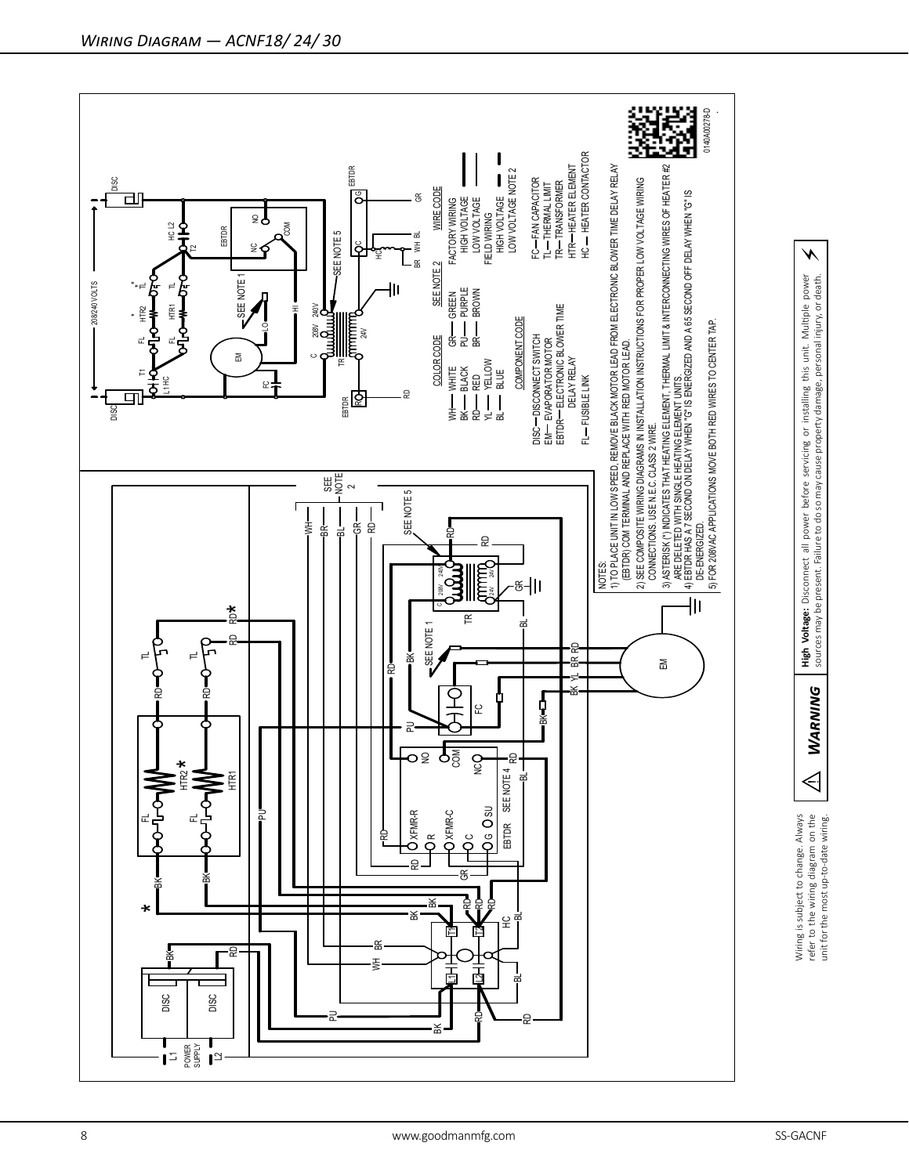

⚡

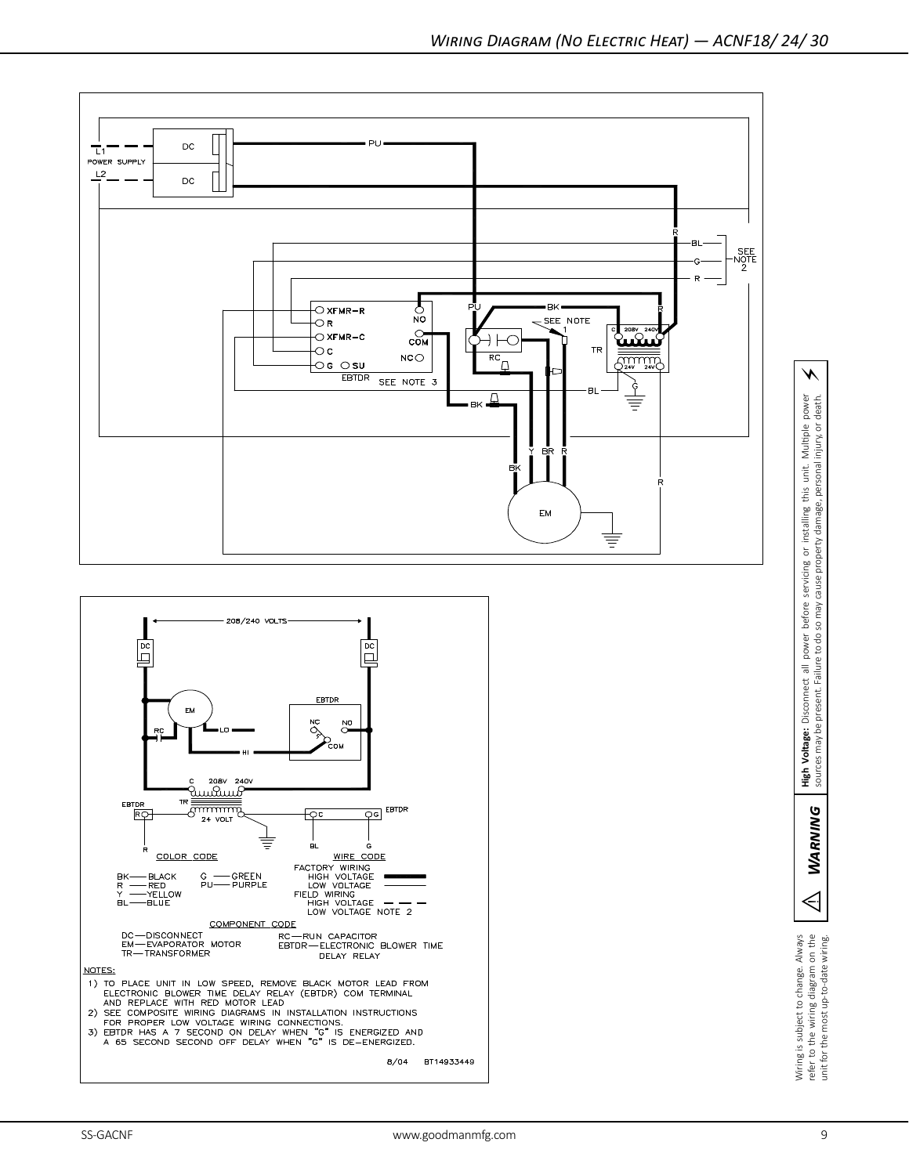

Wiring is subject to change. Always<br>refer to the wiring diagram on the<br>unit for the most up-to-date wiring.

 $\triangleleft$ 

**WARNING** 

WARNING | High Voltage: Disconnect all power before servicing or installing this unit. Multiple power sources may be present. Failure to do so may cause property damage, personal injury, or death.

**High Voltage:** Disconnect all power before servicing or installing the sources may be present. Failure to do so may cause property damage,

⚡

or installing this unit. Multiple power<br>perty damage, personal injury, or death.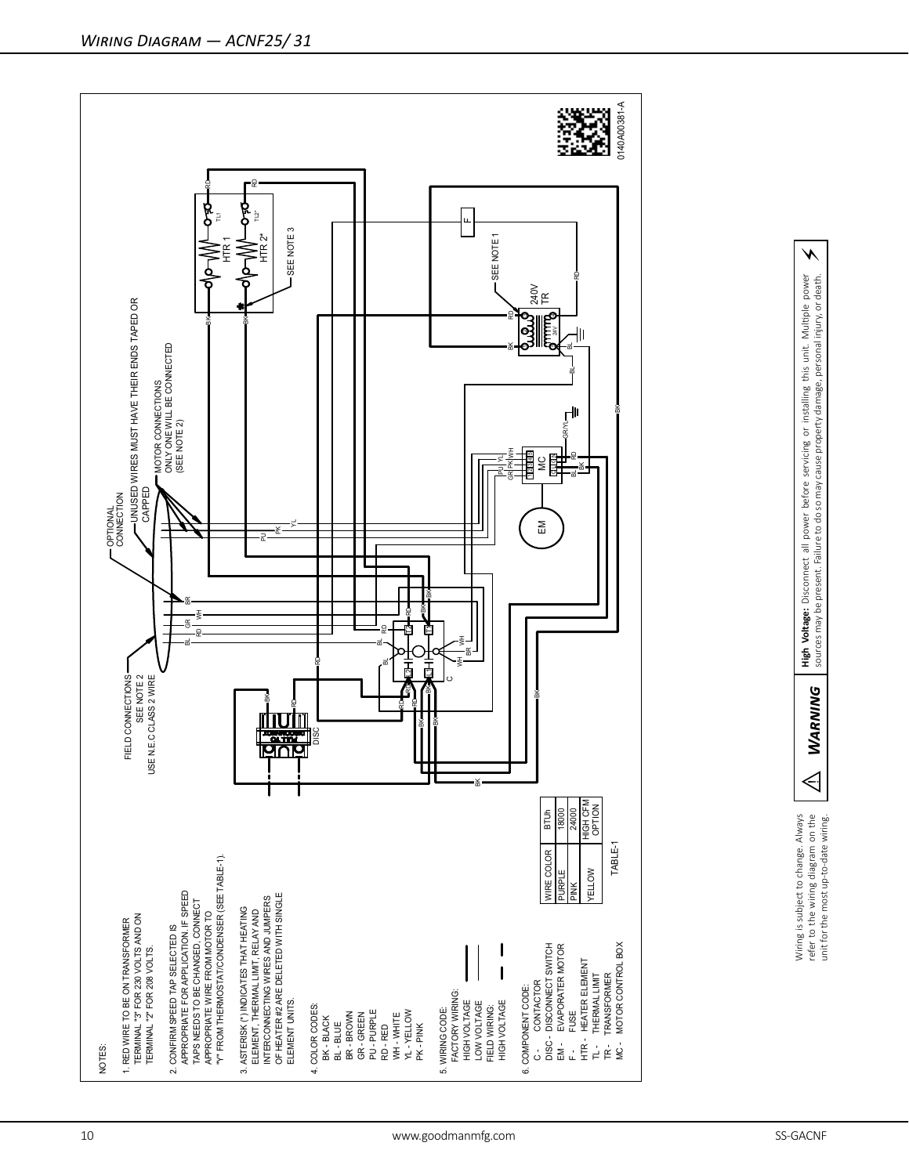

refer to the wring diagrams on the reading to the MARNING Player Disconnect all power before servicing or installing this unit. Multiple power  $\angle$ <br>unit for the most up-to-date wring. NARNING sources may be present. Failur High Voltage: Disconnect all power before servicing or installing this unit. Multiple power<br>sources may be present. Failure to do so may cause property damage, personal injury, or death.

 $\boldsymbol{\star}$ 

**WARNING** 

 $\Leftrightarrow$ 

Wiring is subject to change. Always<br>refer to the wiring diagram on the<br>unit for the most up-to-date wiring. Wiring is subject to change. Always refer to the wiring diagram on the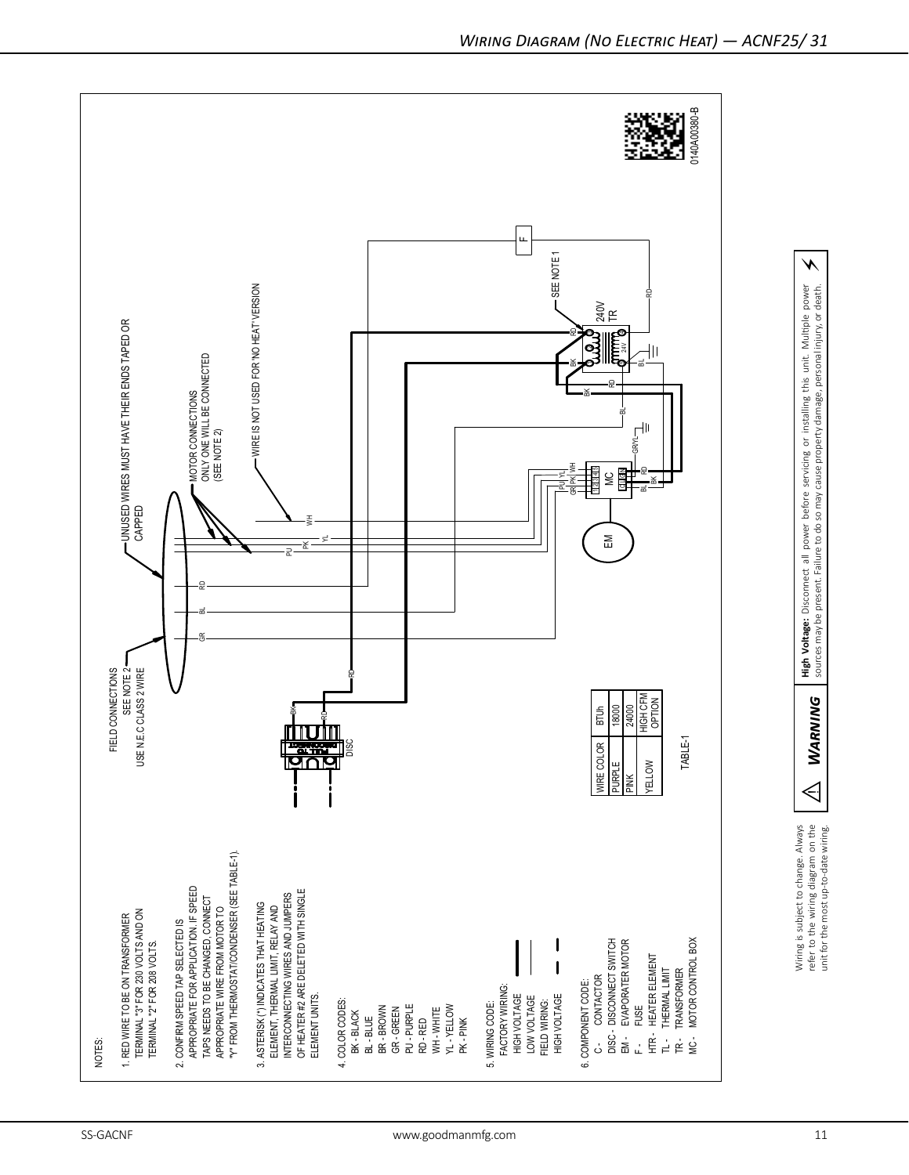